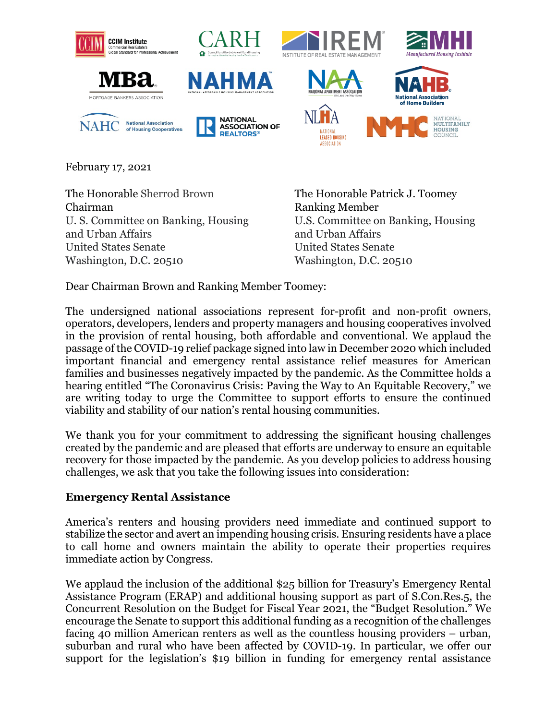

February 17, 2021

The Honorable Sherrod Brown The Honorable Patrick J. Toomey Chairman Ranking Member U. S. Committee on Banking, Housing U.S. Committee on Banking, Housing and Urban Affairs **and Urban Affairs** and Urban Affairs United States Senate United States Senate Washington, D.C. 20510 Washington, D.C. 20510

Dear Chairman Brown and Ranking Member Toomey:

The undersigned national associations represent for-profit and non-profit owners, operators, developers, lenders and property managers and housing cooperatives involved in the provision of rental housing, both affordable and conventional. We applaud the passage of the COVID-19 relief package signed into law in December 2020 which included important financial and emergency rental assistance relief measures for American families and businesses negatively impacted by the pandemic. As the Committee holds a hearing entitled "The Coronavirus Crisis: Paving the Way to An Equitable Recovery," we are writing today to urge the Committee to support efforts to ensure the continued viability and stability of our nation's rental housing communities.

We thank you for your commitment to addressing the significant housing challenges created by the pandemic and are pleased that efforts are underway to ensure an equitable recovery for those impacted by the pandemic. As you develop policies to address housing challenges, we ask that you take the following issues into consideration:

## **Emergency Rental Assistance**

America's renters and housing providers need immediate and continued support to stabilize the sector and avert an impending housing crisis. Ensuring residents have a place to call home and owners maintain the ability to operate their properties requires immediate action by Congress.

We applaud the inclusion of the additional \$25 billion for Treasury's Emergency Rental Assistance Program (ERAP) and additional housing support as part of S.Con.Res.5, the Concurrent Resolution on the Budget for Fiscal Year 2021, the "Budget Resolution." We encourage the Senate to support this additional funding as a recognition of the challenges facing 40 million American renters as well as the countless housing providers – urban, suburban and rural who have been affected by COVID-19. In particular, we offer our support for the legislation's \$19 billion in funding for emergency rental assistance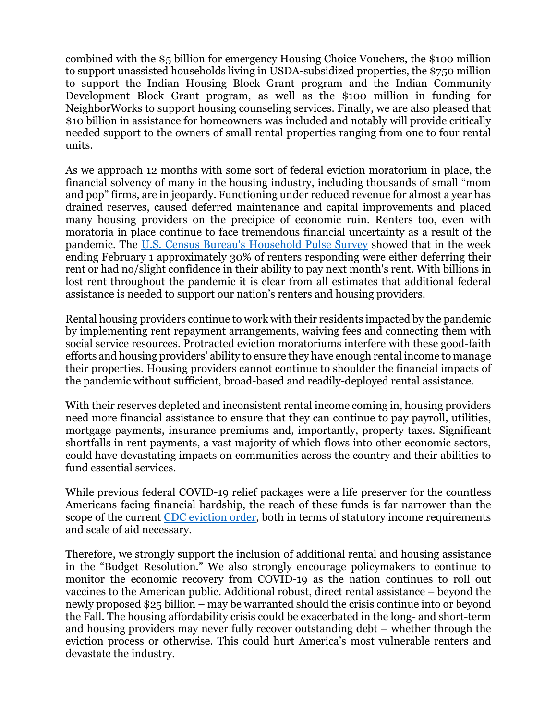combined with the \$5 billion for emergency Housing Choice Vouchers, the \$100 million to support unassisted households living in USDA-subsidized properties, the \$750 million to support the Indian Housing Block Grant program and the Indian Community Development Block Grant program, as well as the \$100 million in funding for NeighborWorks to support housing counseling services. Finally, we are also pleased that \$10 billion in assistance for homeowners was included and notably will provide critically needed support to the owners of small rental properties ranging from one to four rental units.

As we approach 12 months with some sort of federal eviction moratorium in place, the financial solvency of many in the housing industry, including thousands of small "mom and pop" firms, are in jeopardy. Functioning under reduced revenue for almost a year has drained reserves, caused deferred maintenance and capital improvements and placed many housing providers on the precipice of economic ruin. Renters too, even with moratoria in place continue to face tremendous financial uncertainty as a result of the pandemic. The [U.S. Census Bureau's Household Pulse Survey](https://www.census.gov/data/tables/2021/demo/hhp/hhp23.html) showed that in the week ending February 1 approximately 30% of renters responding were either deferring their rent or had no/slight confidence in their ability to pay next month's rent. With billions in lost rent throughout the pandemic it is clear from all estimates that additional federal assistance is needed to support our nation's renters and housing providers.

Rental housing providers continue to work with their residents impacted by the pandemic by implementing rent repayment arrangements, waiving fees and connecting them with social service resources. Protracted eviction moratoriums interfere with these good-faith efforts and housing providers' ability to ensure they have enough rental income to manage their properties. Housing providers cannot continue to shoulder the financial impacts of the pandemic without sufficient, broad-based and readily-deployed rental assistance.

With their reserves depleted and inconsistent rental income coming in, housing providers need more financial assistance to ensure that they can continue to pay payroll, utilities, mortgage payments, insurance premiums and, importantly, property taxes. Significant shortfalls in rent payments, a vast majority of which flows into other economic sectors, could have devastating impacts on communities across the country and their abilities to fund essential services.

While previous federal COVID-19 relief packages were a life preserver for the countless Americans facing financial hardship, the reach of these funds is far narrower than the scope of the current [CDC eviction order,](https://www.federalregister.gov/documents/2020/09/04/2020-19654/temporary-halt-in-residential-evictions-to-prevent-the-further-spread-of-covid-19) both in terms of statutory income requirements and scale of aid necessary.

Therefore, we strongly support the inclusion of additional rental and housing assistance in the "Budget Resolution." We also strongly encourage policymakers to continue to monitor the economic recovery from COVID-19 as the nation continues to roll out vaccines to the American public. Additional robust, direct rental assistance – beyond the newly proposed \$25 billion – may be warranted should the crisis continue into or beyond the Fall. The housing affordability crisis could be exacerbated in the long- and short-term and housing providers may never fully recover outstanding debt – whether through the eviction process or otherwise. This could hurt America's most vulnerable renters and devastate the industry.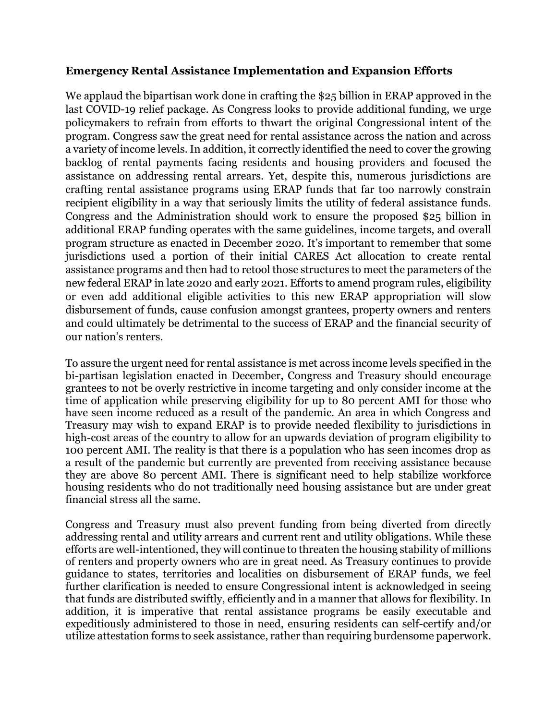## **Emergency Rental Assistance Implementation and Expansion Efforts**

We applaud the bipartisan work done in crafting the \$25 billion in ERAP approved in the last COVID-19 relief package. As Congress looks to provide additional funding, we urge policymakers to refrain from efforts to thwart the original Congressional intent of the program. Congress saw the great need for rental assistance across the nation and across a variety of income levels. In addition, it correctly identified the need to cover the growing backlog of rental payments facing residents and housing providers and focused the assistance on addressing rental arrears. Yet, despite this, numerous jurisdictions are crafting rental assistance programs using ERAP funds that far too narrowly constrain recipient eligibility in a way that seriously limits the utility of federal assistance funds. Congress and the Administration should work to ensure the proposed \$25 billion in additional ERAP funding operates with the same guidelines, income targets, and overall program structure as enacted in December 2020. It's important to remember that some jurisdictions used a portion of their initial CARES Act allocation to create rental assistance programs and then had to retool those structures to meet the parameters of the new federal ERAP in late 2020 and early 2021. Efforts to amend program rules, eligibility or even add additional eligible activities to this new ERAP appropriation will slow disbursement of funds, cause confusion amongst grantees, property owners and renters and could ultimately be detrimental to the success of ERAP and the financial security of our nation's renters.

To assure the urgent need for rental assistance is met across income levels specified in the bi-partisan legislation enacted in December, Congress and Treasury should encourage grantees to not be overly restrictive in income targeting and only consider income at the time of application while preserving eligibility for up to 80 percent AMI for those who have seen income reduced as a result of the pandemic. An area in which Congress and Treasury may wish to expand ERAP is to provide needed flexibility to jurisdictions in high-cost areas of the country to allow for an upwards deviation of program eligibility to 100 percent AMI. The reality is that there is a population who has seen incomes drop as a result of the pandemic but currently are prevented from receiving assistance because they are above 80 percent AMI. There is significant need to help stabilize workforce housing residents who do not traditionally need housing assistance but are under great financial stress all the same.

Congress and Treasury must also prevent funding from being diverted from directly addressing rental and utility arrears and current rent and utility obligations. While these efforts are well-intentioned, they will continue to threaten the housing stability of millions of renters and property owners who are in great need. As Treasury continues to provide guidance to states, territories and localities on disbursement of ERAP funds, we feel further clarification is needed to ensure Congressional intent is acknowledged in seeing that funds are distributed swiftly, efficiently and in a manner that allows for flexibility. In addition, it is imperative that rental assistance programs be easily executable and expeditiously administered to those in need, ensuring residents can self-certify and/or utilize attestation forms to seek assistance, rather than requiring burdensome paperwork.